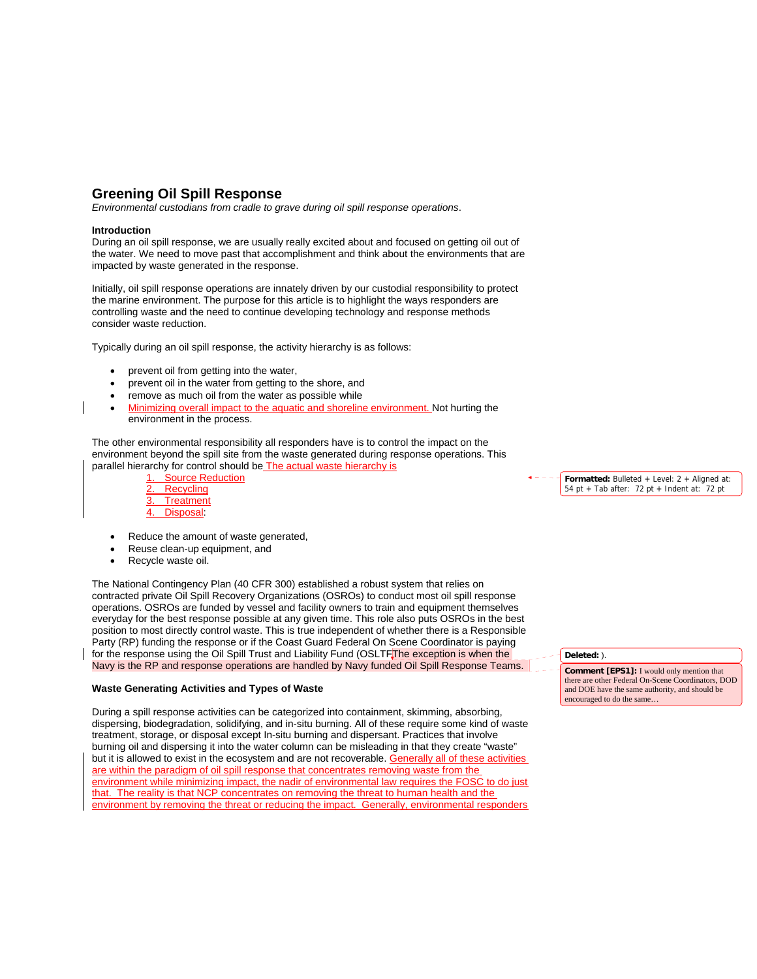# **Greening Oil Spill Response**

*Environmental custodians from cradle to grave during oil spill response operations*.

## **Introduction**

During an oil spill response, we are usually really excited about and focused on getting oil out of the water. We need to move past that accomplishment and think about the environments that are impacted by waste generated in the response.

Initially, oil spill response operations are innately driven by our custodial responsibility to protect the marine environment. The purpose for this article is to highlight the ways responders are controlling waste and the need to continue developing technology and response methods consider waste reduction.

Typically during an oil spill response, the activity hierarchy is as follows:

- prevent oil from getting into the water,
- prevent oil in the water from getting to the shore, and
- remove as much oil from the water as possible while
- Minimizing overall impact to the aquatic and shoreline environment. Not hurting the environment in the process.

The other environmental responsibility all responders have is to control the impact on the environment beyond the spill site from the waste generated during response operations. This parallel hierarchy for control should be The actual waste hierarchy is

Source Reduction **Recycling Treatment** Disposal:

- Reduce the amount of waste generated,
- Reuse clean-up equipment, and
- Recycle waste oil.

The National Contingency Plan (40 CFR 300) established a robust system that relies on contracted private Oil Spill Recovery Organizations (OSROs) to conduct most oil spill response operations. OSROs are funded by vessel and facility owners to train and equipment themselves everyday for the best response possible at any given time. This role also puts OSROs in the best position to most directly control waste. This is true independent of whether there is a Responsible Party (RP) funding the response or if the Coast Guard Federal On Scene Coordinator is paying for the response using the Oil Spill Trust and Liability Fund (OSLTFThe exception is when the Navy is the RP and response operations are handled by Navy funded Oil Spill Response Teams.

# **Waste Generating Activities and Types of Waste**

During a spill response activities can be categorized into containment, skimming, absorbing, dispersing, biodegradation, solidifying, and in-situ burning. All of these require some kind of waste treatment, storage, or disposal except In-situ burning and dispersant. Practices that involve burning oil and dispersing it into the water column can be misleading in that they create "waste" but it is allowed to exist in the ecosystem and are not recoverable. Generally all of these activities are within the paradigm of oil spill response that concentrates removing waste from the environment while minimizing impact, the nadir of environmental law requires the FOSC to do just that. The reality is that NCP concentrates on removing the threat to human health and the environment by removing the threat or reducing the impact. Generally, environmental responders

**Formatted:** Bulleted + Level: 2 + Aligned at: 54 pt + Tab after: 72 pt + Indent at: 72 pt

**Deleted:** ).

**Comment [EPS1]:** I would only mention that there are other Federal On-Scene Coordinators, DOD and DOE have the same authority, and should be encouraged to do the same…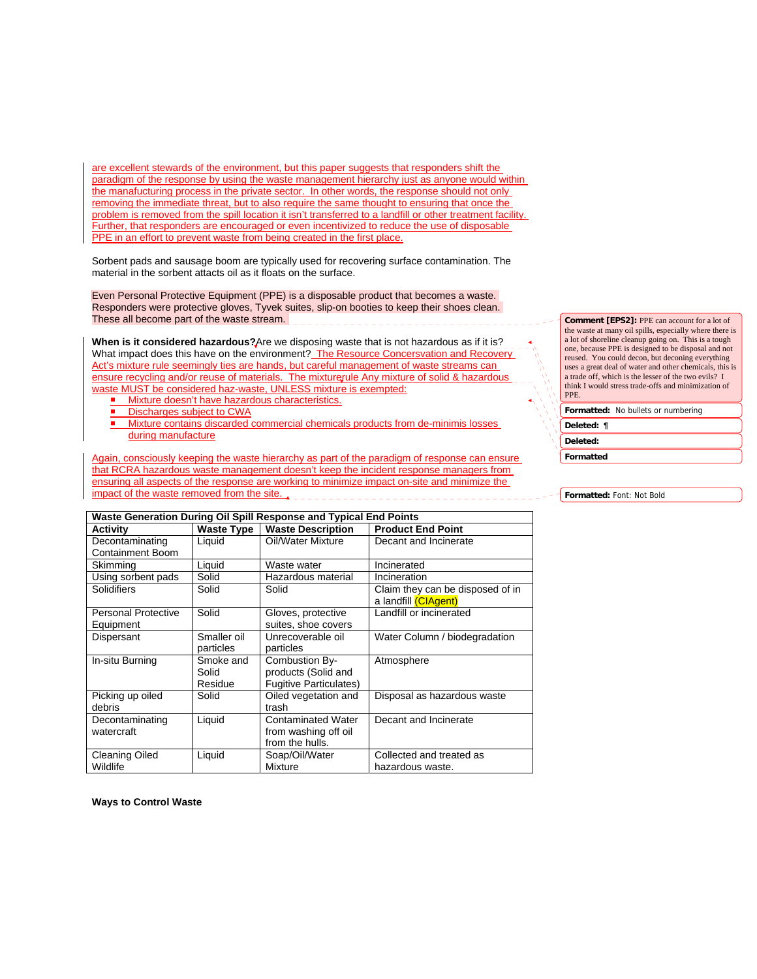are excellent stewards of the environment, but this paper suggests that responders shift the paradigm of the response by using the waste management hierarchy just as anyone would within the manafucturing process in the private sector. In other words, the response should not only removing the immediate threat, but to also require the same thought to ensuring that once the problem is removed from the spill location it isn't transferred to a landfill or other treatment facility. Further, that responders are encouraged or even incentivized to reduce the use of disposable PPE in an effort to prevent waste from being created in the first place.

Sorbent pads and sausage boom are typically used for recovering surface contamination. The material in the sorbent attacts oil as it floats on the surface.

Even Personal Protective Equipment (PPE) is a disposable product that becomes a waste. Responders were protective gloves, Tyvek suites, slip-on booties to keep their shoes clean. These all become part of the waste stream.

**When is it considered hazardous?**Are we disposing waste that is not hazardous as if it is? What impact does this have on the environment? The Resource Concersvation and Recovery Act's mixture rule seemingly ties are hands, but careful management of waste streams can ensure recycling and/or reuse of materials. The mixturerule Any mixture of solid & hazardous waste MUST be considered haz-waste, UNLESS mixture is exempted:

- **Mixture doesn't have hazardous characteristics.**
- Discharges subject to CWA
- Mixture contains discarded commercial chemicals products from de-minimis losses during manufacture

Again, consciously keeping the waste hierarchy as part of the paradigm of response can ensure that RCRA hazardous waste management doesn't keep the incident response managers from ensuring all aspects of the response are working to minimize impact on-site and minimize the impact of th<u>e waste removed from the site.</u>

**Comment [EPS2]:** PPE can account for a lot of the waste at many oil spills, especially where there is a lot of shoreline cleanup going on. This is a tough one, because PPE is designed to be disposal and not reused. You could decon, but deconing everything uses a great deal of water and other chemicals, this is a trade off, which is the lesser of the two evils? I think I would stress trade-offs and minimization of PPE.

| Formatted: No bullets or numbering |  |  |  |  |
|------------------------------------|--|--|--|--|
|------------------------------------|--|--|--|--|

| п<br>تمرم<br>▱<br>$\sim$<br>w<br>٠ |  |
|------------------------------------|--|
|                                    |  |

**Deleted:** 

**Formatted**

**Formatted:** Font: Not Bold

| Waste Generation During Oil Spill Response and Typical End Points |                   |                               |                                                          |  |  |  |  |
|-------------------------------------------------------------------|-------------------|-------------------------------|----------------------------------------------------------|--|--|--|--|
| <b>Activity</b>                                                   | <b>Waste Type</b> | <b>Waste Description</b>      | <b>Product End Point</b>                                 |  |  |  |  |
| Decontaminating                                                   | Liquid            | Oil/Water Mixture             | Decant and Incinerate                                    |  |  |  |  |
| <b>Containment Boom</b>                                           |                   |                               |                                                          |  |  |  |  |
| Skimming                                                          | Liquid            | Waste water                   | Incinerated                                              |  |  |  |  |
| Using sorbent pads                                                | Solid             | Hazardous material            | Incineration                                             |  |  |  |  |
| Solidifiers                                                       | Solid             | Solid                         | Claim they can be disposed of in<br>a landfill (CIAgent) |  |  |  |  |
| <b>Personal Protective</b>                                        | Solid             | Gloves, protective            | Landfill or incinerated                                  |  |  |  |  |
| Equipment                                                         |                   | suites, shoe covers           |                                                          |  |  |  |  |
| Dispersant                                                        | Smaller oil       | Unrecoverable oil             | Water Column / biodegradation                            |  |  |  |  |
|                                                                   | particles         | particles                     |                                                          |  |  |  |  |
| In-situ Burning                                                   | Smoke and         | Combustion By-                | Atmosphere                                               |  |  |  |  |
|                                                                   | Solid             | products (Solid and           |                                                          |  |  |  |  |
|                                                                   | Residue           | <b>Fugitive Particulates)</b> |                                                          |  |  |  |  |
| Picking up oiled                                                  | Solid             | Oiled vegetation and          | Disposal as hazardous waste                              |  |  |  |  |
| debris                                                            |                   | trash                         |                                                          |  |  |  |  |
| Decontaminating                                                   | Liquid            | <b>Contaminated Water</b>     | Decant and Incinerate                                    |  |  |  |  |
| watercraft                                                        |                   | from washing off oil          |                                                          |  |  |  |  |
|                                                                   |                   | from the hulls.               |                                                          |  |  |  |  |
| <b>Cleaning Oiled</b>                                             | Liquid            | Soap/Oil/Water                | Collected and treated as                                 |  |  |  |  |
| Wildlife                                                          |                   | Mixture                       | hazardous waste.                                         |  |  |  |  |

**Ways to Control Waste**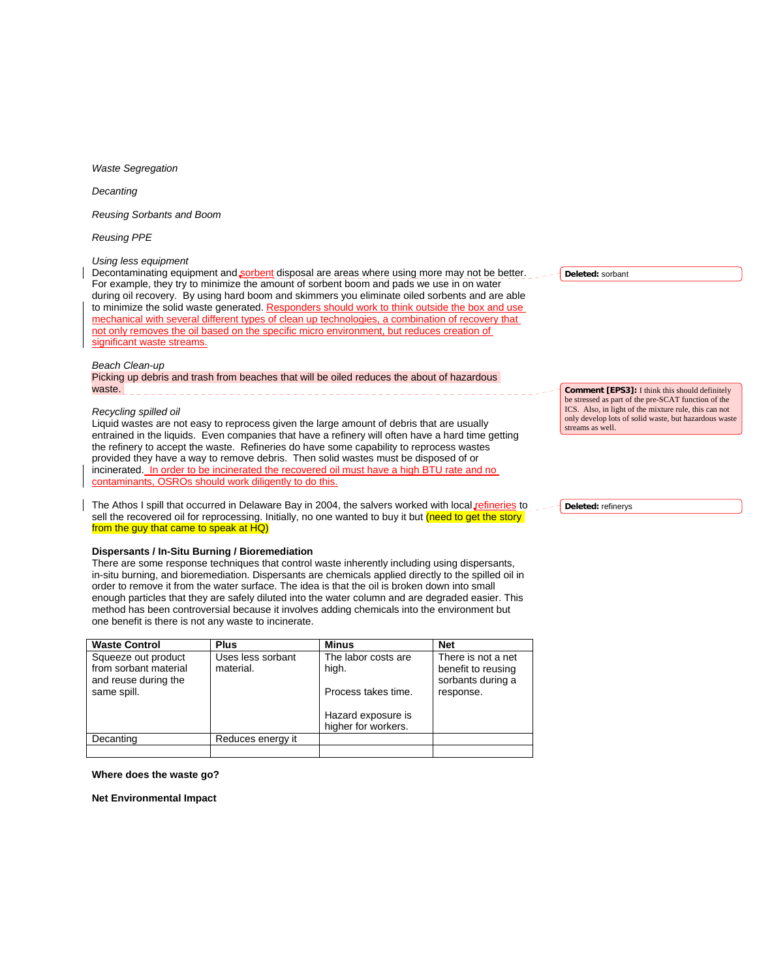*Waste Segregation* 

*Decanting* 

*Reusing Sorbants and Boom* 

*Reusing PPE* 

# *Using less equipment*

Decontaminating equipment and sorbent disposal are areas where using more may not be better. For example, they try to minimize the amount of sorbent boom and pads we use in on water during oil recovery. By using hard boom and skimmers you eliminate oiled sorbents and are able to minimize the solid waste generated. Responders should work to think outside the box and use mechanical with several different types of clean up technologies, a combination of recovery that not only removes the oil based on the specific micro environment, but reduces creation of significant waste streams.

# *Beach Clean-up*

Picking up debris and trash from beaches that will be oiled reduces the about of hazardous waste. 

#### *Recycling spilled oil*

Liquid wastes are not easy to reprocess given the large amount of debris that are usually entrained in the liquids. Even companies that have a refinery will often have a hard time getting the refinery to accept the waste. Refineries do have some capability to reprocess wastes provided they have a way to remove debris. Then solid wastes must be disposed of or incinerated. In order to be incinerated the recovered oil must have a high BTU rate and no contaminants, OSROs should work diligently to do this.

The Athos I spill that occurred in Delaware Bay in 2004, the salvers worked with local *gefineries* to sell the recovered oil for reprocessing. Initially, no one wanted to buy it but (need to get the story from the guy that came to speak at HQ)

# **Dispersants / In-Situ Burning / Bioremediation**

There are some response techniques that control waste inherently including using dispersants, in-situ burning, and bioremediation. Dispersants are chemicals applied directly to the spilled oil in order to remove it from the water surface. The idea is that the oil is broken down into small enough particles that they are safely diluted into the water column and are degraded easier. This method has been controversial because it involves adding chemicals into the environment but one benefit is there is not any waste to incinerate.

| <b>Waste Control</b>  | <b>Plus</b>       | <b>Minus</b>        | <b>Net</b>         |
|-----------------------|-------------------|---------------------|--------------------|
| Squeeze out product   | Uses less sorbant | The labor costs are | There is not a net |
| from sorbant material | material.         | high.               | benefit to reusing |
| and reuse during the  |                   |                     | sorbants during a  |
| same spill.           |                   | Process takes time. | response.          |
|                       |                   |                     |                    |
|                       |                   | Hazard exposure is  |                    |
|                       |                   | higher for workers. |                    |
| Decanting             | Reduces energy it |                     |                    |
|                       |                   |                     |                    |

**Where does the waste go?** 

**Net Environmental Impact** 

**Deleted:** sorbant

**Comment [EPS3]:** I think this should definitely be stressed as part of the pre-SCAT function of the ICS. Also, in light of the mixture rule, this can not only develop lots of solid waste, but hazardous waste streams as well.

**Deleted:** refinerys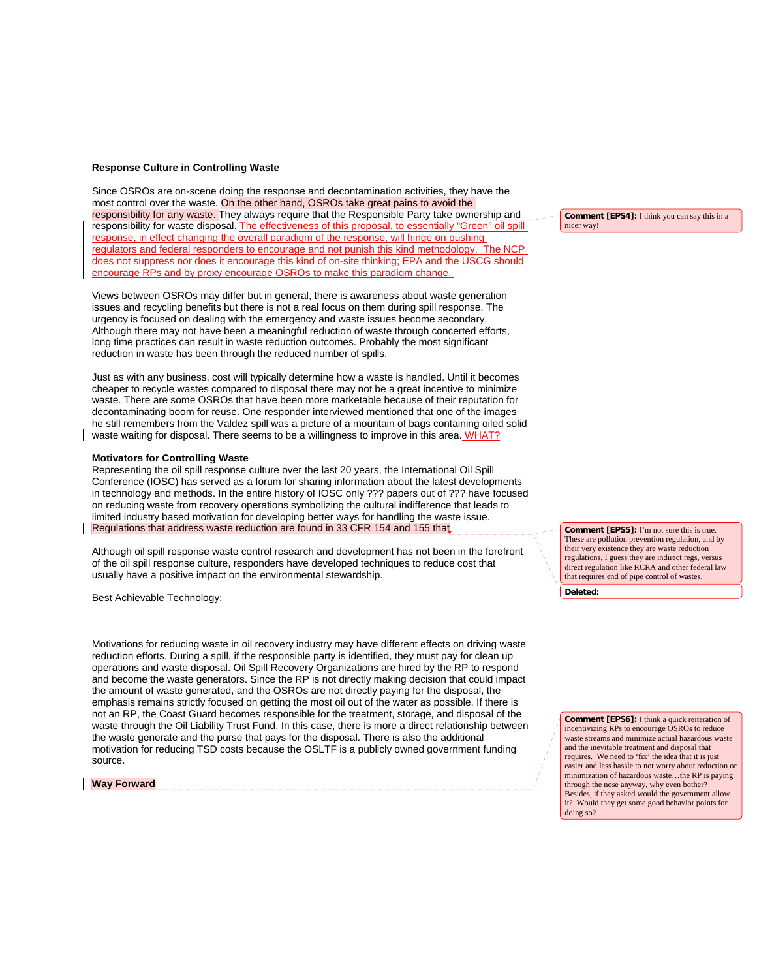## **Response Culture in Controlling Waste**

Since OSROs are on-scene doing the response and decontamination activities, they have the most control over the waste. On the other hand, OSROs take great pains to avoid the responsibility for any waste. They always require that the Responsible Party take ownership and responsibility for waste disposal. The effectiveness of this proposal, to essentially "Green" oil response, in effect changing the overall paradigm of the response, will hinge on pushing regulators and federal responders to encourage and not punish this kind methodology. The NCP does not suppress nor does it encourage this kind of on-site thinking; EPA and the USCG should encourage RPs and by proxy encourage OSROs to make this paradigm change.

Views between OSROs may differ but in general, there is awareness about waste generation issues and recycling benefits but there is not a real focus on them during spill response. The urgency is focused on dealing with the emergency and waste issues become secondary. Although there may not have been a meaningful reduction of waste through concerted efforts, long time practices can result in waste reduction outcomes. Probably the most significant reduction in waste has been through the reduced number of spills.

Just as with any business, cost will typically determine how a waste is handled. Until it becomes cheaper to recycle wastes compared to disposal there may not be a great incentive to minimize waste. There are some OSROs that have been more marketable because of their reputation for decontaminating boom for reuse. One responder interviewed mentioned that one of the images he still remembers from the Valdez spill was a picture of a mountain of bags containing oiled solid waste waiting for disposal. There seems to be a willingness to improve in this area. WHAT?

## **Motivators for Controlling Waste**

Representing the oil spill response culture over the last 20 years, the International Oil Spill Conference (IOSC) has served as a forum for sharing information about the latest developments in technology and methods. In the entire history of IOSC only ??? papers out of ??? have focused on reducing waste from recovery operations symbolizing the cultural indifference that leads to limited industry based motivation for developing better ways for handling the waste issue. Regulations that address waste reduction are found in 33 CFR 154 and 155 that

Although oil spill response waste control research and development has not been in the forefront of the oil spill response culture, responders have developed techniques to reduce cost that usually have a positive impact on the environmental stewardship.

Best Achievable Technology:

Motivations for reducing waste in oil recovery industry may have different effects on driving waste reduction efforts. During a spill, if the responsible party is identified, they must pay for clean up operations and waste disposal. Oil Spill Recovery Organizations are hired by the RP to respond and become the waste generators. Since the RP is not directly making decision that could impact the amount of waste generated, and the OSROs are not directly paying for the disposal, the emphasis remains strictly focused on getting the most oil out of the water as possible. If there is not an RP, the Coast Guard becomes responsible for the treatment, storage, and disposal of the waste through the Oil Liability Trust Fund. In this case, there is more a direct relationship between the waste generate and the purse that pays for the disposal. There is also the additional motivation for reducing TSD costs because the OSLTF is a publicly owned government funding source.

# **Way Forward**

**Comment [EPS4]:** I think you can say this in a nicer way!

**Deleted: Comment [EPS5]:** I'm not sure this is true. These are pollution prevention regulation, and by their very existence they are waste reduction regulations, I guess they are indirect regs, versus direct regulation like RCRA and other federal law that requires end of pipe control of wastes.

**Comment [EPS6]:** I think a quick reiteration of incentivizing RPs to encourage OSROs to reduce waste streams and minimize actual hazardous waste and the inevitable treatment and disposal that requires. We need to 'fix' the idea that it is just easier and less hassle to not worry about reduction or minimization of hazardous waste…the RP is paying through the nose anyway, why even bother? Besides, if they asked would the government allow it? Would they get some good behavior points for doing so?